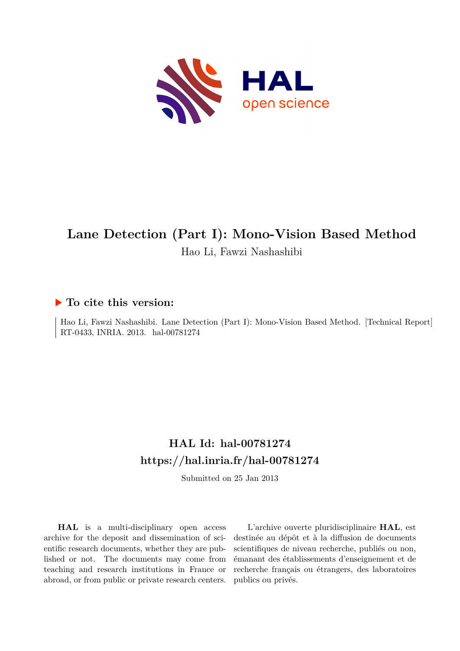

### **Lane Detection (Part I): Mono-Vision Based Method** Hao Li, Fawzi Nashashibi

#### **To cite this version:**

Hao Li, Fawzi Nashashibi. Lane Detection (Part I): Mono-Vision Based Method. [Technical Report] RT-0433, INRIA. 2013. hal-00781274

#### **HAL Id: hal-00781274 <https://hal.inria.fr/hal-00781274>**

Submitted on 25 Jan 2013

**HAL** is a multi-disciplinary open access archive for the deposit and dissemination of scientific research documents, whether they are published or not. The documents may come from teaching and research institutions in France or abroad, or from public or private research centers.

L'archive ouverte pluridisciplinaire **HAL**, est destinée au dépôt et à la diffusion de documents scientifiques de niveau recherche, publiés ou non, émanant des établissements d'enseignement et de recherche français ou étrangers, des laboratoires publics ou privés.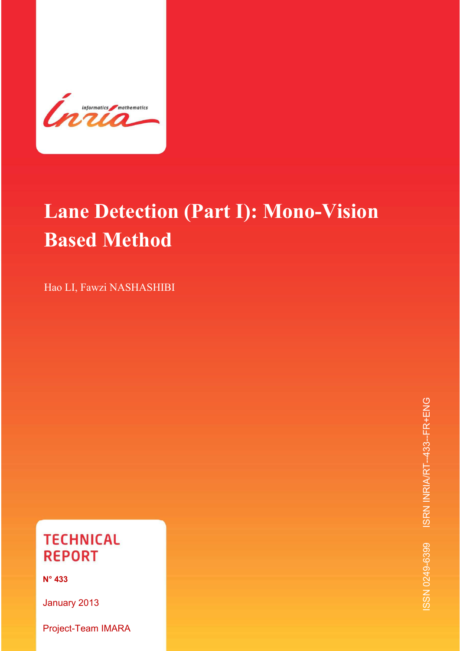

# **Lane Detection (Part I): Mono-Vision Based Method**

*Lane Detection (Part I): Mono-Vision Based Method* 1

Hao LI, Fawzi NASHASHIBI

### **TECHNICAL REPORT**

**N° 433** 

January 2013

Project-Team IMARA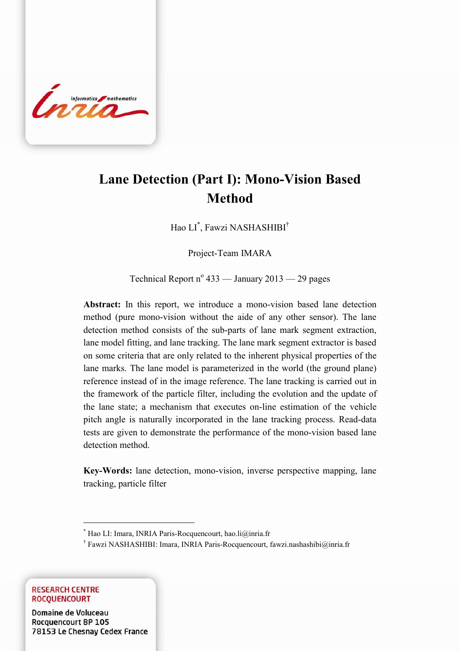

### **Lane Detection (Part I): Mono-Vision Based Method**

*Lane Detection (Part I): Mono-Vision Based Method* 3

Hao LI\* , Fawzi NASHASHIBI†

Project-Team IMARA

Technical Report  $n^{\circ}$  433 — January 2013 — 29 pages

**Abstract:** In this report, we introduce a mono-vision based lane detection method (pure mono-vision without the aide of any other sensor). The lane detection method consists of the sub-parts of lane mark segment extraction, lane model fitting, and lane tracking. The lane mark segment extractor is based on some criteria that are only related to the inherent physical properties of the lane marks. The lane model is parameterized in the world (the ground plane) reference instead of in the image reference. The lane tracking is carried out in the framework of the particle filter, including the evolution and the update of the lane state; a mechanism that executes on-line estimation of the vehicle pitch angle is naturally incorporated in the lane tracking process. Read-data tests are given to demonstrate the performance of the mono-vision based lane detection method.

**Key-Words:** lane detection, mono-vision, inverse perspective mapping, lane tracking, particle filter

† Fawzi NASHASHIBI: Imara, INRIA Paris-Rocquencourt, fawzi.nashashibi@inria.fr

**RESEARCH CENTRE ROCOUENCOURT** 

oluceau<br>DD 105 78153 Le Chesnay Cedex France

<u>.</u>

<sup>\*</sup> Hao LI: Imara, INRIA Paris-Rocquencourt, hao.li@inria.fr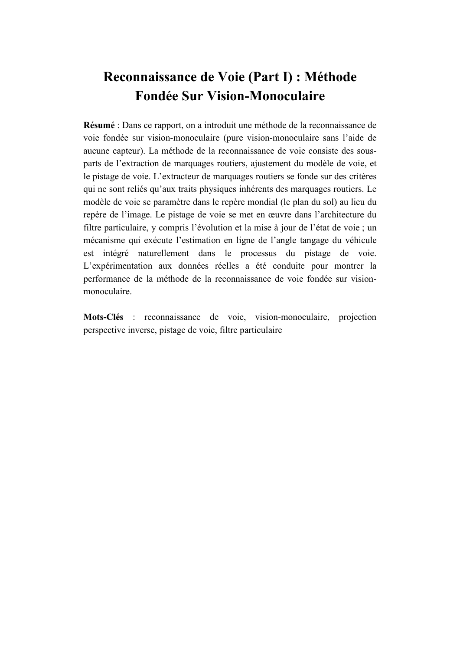### **Reconnaissance de Voie (Part I) : Méthode Fondée Sur Vision-Monoculaire**

**Résumé** : Dans ce rapport, on a introduit une méthode de la reconnaissance de voie fondée sur vision-monoculaire (pure vision-monoculaire sans l'aide de aucune capteur). La méthode de la reconnaissance de voie consiste des sousparts de l'extraction de marquages routiers, ajustement du modèle de voie, et le pistage de voie. L'extracteur de marquages routiers se fonde sur des critères qui ne sont reliés qu'aux traits physiques inhérents des marquages routiers. Le modèle de voie se paramètre dans le repère mondial (le plan du sol) au lieu du repère de l'image. Le pistage de voie se met en œuvre dans l'architecture du filtre particulaire, y compris l'évolution et la mise à jour de l'état de voie ; un mécanisme qui exécute l'estimation en ligne de l'angle tangage du véhicule est intégré naturellement dans le processus du pistage de voie. L'expérimentation aux données réelles a été conduite pour montrer la performance de la méthode de la reconnaissance de voie fondée sur visionmonoculaire.

**Mots-Clés** : reconnaissance de voie, vision-monoculaire, projection perspective inverse, pistage de voie, filtre particulaire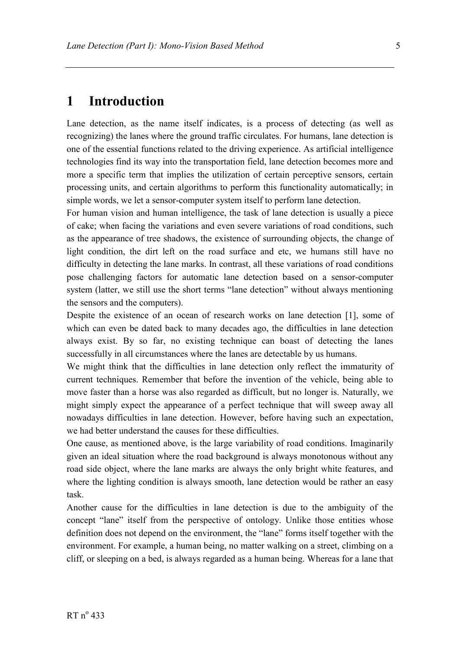#### **1 Introduction**

Lane detection, as the name itself indicates, is a process of detecting (as well as recognizing) the lanes where the ground traffic circulates. For humans, lane detection is one of the essential functions related to the driving experience. As artificial intelligence technologies find its way into the transportation field, lane detection becomes more and more a specific term that implies the utilization of certain perceptive sensors, certain processing units, and certain algorithms to perform this functionality automatically; in simple words, we let a sensor-computer system itself to perform lane detection.

For human vision and human intelligence, the task of lane detection is usually a piece of cake; when facing the variations and even severe variations of road conditions, such as the appearance of tree shadows, the existence of surrounding objects, the change of light condition, the dirt left on the road surface and etc, we humans still have no difficulty in detecting the lane marks. In contrast, all these variations of road conditions pose challenging factors for automatic lane detection based on a sensor-computer system (latter, we still use the short terms "lane detection" without always mentioning the sensors and the computers).

Despite the existence of an ocean of research works on lane detection [1], some of which can even be dated back to many decades ago, the difficulties in lane detection always exist. By so far, no existing technique can boast of detecting the lanes successfully in all circumstances where the lanes are detectable by us humans.

We might think that the difficulties in lane detection only reflect the immaturity of current techniques. Remember that before the invention of the vehicle, being able to move faster than a horse was also regarded as difficult, but no longer is. Naturally, we might simply expect the appearance of a perfect technique that will sweep away all nowadays difficulties in lane detection. However, before having such an expectation, we had better understand the causes for these difficulties.

One cause, as mentioned above, is the large variability of road conditions. Imaginarily given an ideal situation where the road background is always monotonous without any road side object, where the lane marks are always the only bright white features, and where the lighting condition is always smooth, lane detection would be rather an easy task.

Another cause for the difficulties in lane detection is due to the ambiguity of the concept "lane" itself from the perspective of ontology. Unlike those entities whose definition does not depend on the environment, the "lane" forms itself together with the environment. For example, a human being, no matter walking on a street, climbing on a cliff, or sleeping on a bed, is always regarded as a human being. Whereas for a lane that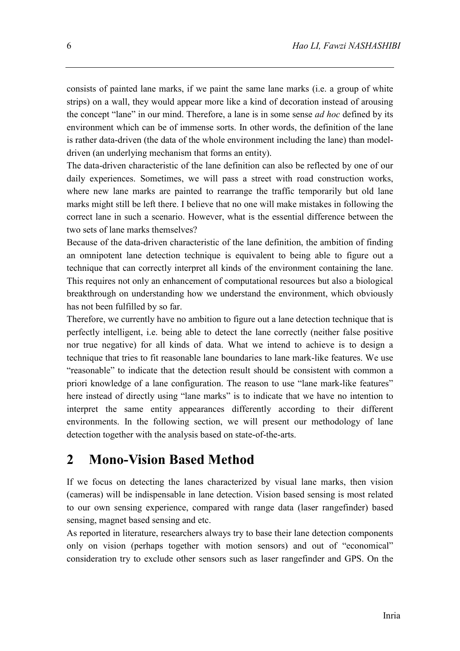consists of painted lane marks, if we paint the same lane marks (i.e. a group of white strips) on a wall, they would appear more like a kind of decoration instead of arousing the concept "lane" in our mind. Therefore, a lane is in some sense *ad hoc* defined by its environment which can be of immense sorts. In other words, the definition of the lane is rather data-driven (the data of the whole environment including the lane) than modeldriven (an underlying mechanism that forms an entity).

The data-driven characteristic of the lane definition can also be reflected by one of our daily experiences. Sometimes, we will pass a street with road construction works, where new lane marks are painted to rearrange the traffic temporarily but old lane marks might still be left there. I believe that no one will make mistakes in following the correct lane in such a scenario. However, what is the essential difference between the two sets of lane marks themselves?

Because of the data-driven characteristic of the lane definition, the ambition of finding an omnipotent lane detection technique is equivalent to being able to figure out a technique that can correctly interpret all kinds of the environment containing the lane. This requires not only an enhancement of computational resources but also a biological breakthrough on understanding how we understand the environment, which obviously has not been fulfilled by so far.

Therefore, we currently have no ambition to figure out a lane detection technique that is perfectly intelligent, i.e. being able to detect the lane correctly (neither false positive nor true negative) for all kinds of data. What we intend to achieve is to design a technique that tries to fit reasonable lane boundaries to lane mark-like features. We use "reasonable" to indicate that the detection result should be consistent with common a priori knowledge of a lane configuration. The reason to use "lane mark-like features" here instead of directly using "lane marks" is to indicate that we have no intention to interpret the same entity appearances differently according to their different environments. In the following section, we will present our methodology of lane detection together with the analysis based on state-of-the-arts.

#### **2 Mono-Vision Based Method**

If we focus on detecting the lanes characterized by visual lane marks, then vision (cameras) will be indispensable in lane detection. Vision based sensing is most related to our own sensing experience, compared with range data (laser rangefinder) based sensing, magnet based sensing and etc.

As reported in literature, researchers always try to base their lane detection components only on vision (perhaps together with motion sensors) and out of "economical" consideration try to exclude other sensors such as laser rangefinder and GPS. On the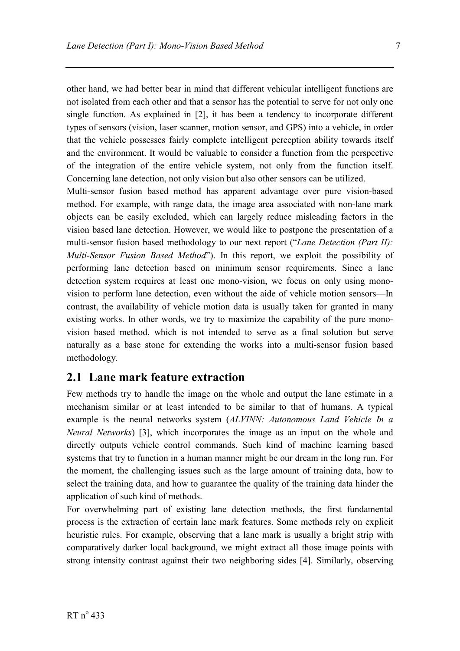other hand, we had better bear in mind that different vehicular intelligent functions are not isolated from each other and that a sensor has the potential to serve for not only one single function. As explained in [2], it has been a tendency to incorporate different types of sensors (vision, laser scanner, motion sensor, and GPS) into a vehicle, in order that the vehicle possesses fairly complete intelligent perception ability towards itself and the environment. It would be valuable to consider a function from the perspective of the integration of the entire vehicle system, not only from the function itself. Concerning lane detection, not only vision but also other sensors can be utilized.

Multi-sensor fusion based method has apparent advantage over pure vision-based method. For example, with range data, the image area associated with non-lane mark objects can be easily excluded, which can largely reduce misleading factors in the vision based lane detection. However, we would like to postpone the presentation of a multi-sensor fusion based methodology to our next report ("*Lane Detection (Part II): Multi-Sensor Fusion Based Method*"). In this report, we exploit the possibility of performing lane detection based on minimum sensor requirements. Since a lane detection system requires at least one mono-vision, we focus on only using monovision to perform lane detection, even without the aide of vehicle motion sensors—In contrast, the availability of vehicle motion data is usually taken for granted in many existing works. In other words, we try to maximize the capability of the pure monovision based method, which is not intended to serve as a final solution but serve naturally as a base stone for extending the works into a multi-sensor fusion based methodology.

#### **2.1 Lane mark feature extraction**

Few methods try to handle the image on the whole and output the lane estimate in a mechanism similar or at least intended to be similar to that of humans. A typical example is the neural networks system (*ALVINN: Autonomous Land Vehicle In a Neural Networks*) [3], which incorporates the image as an input on the whole and directly outputs vehicle control commands. Such kind of machine learning based systems that try to function in a human manner might be our dream in the long run. For the moment, the challenging issues such as the large amount of training data, how to select the training data, and how to guarantee the quality of the training data hinder the application of such kind of methods.

For overwhelming part of existing lane detection methods, the first fundamental process is the extraction of certain lane mark features. Some methods rely on explicit heuristic rules. For example, observing that a lane mark is usually a bright strip with comparatively darker local background, we might extract all those image points with strong intensity contrast against their two neighboring sides [4]. Similarly, observing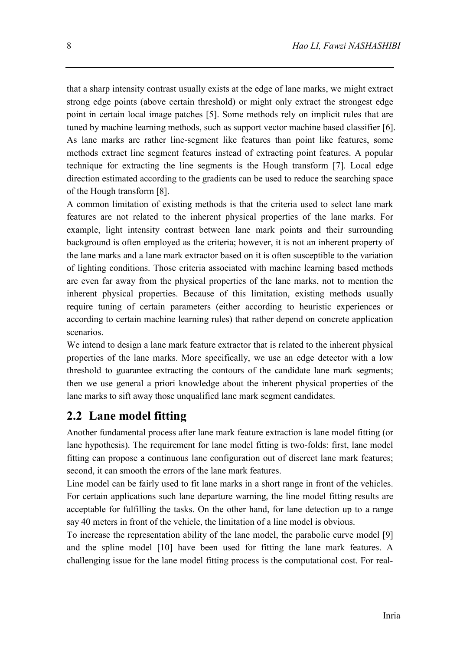that a sharp intensity contrast usually exists at the edge of lane marks, we might extract strong edge points (above certain threshold) or might only extract the strongest edge point in certain local image patches [5]. Some methods rely on implicit rules that are tuned by machine learning methods, such as support vector machine based classifier [6]. As lane marks are rather line-segment like features than point like features, some methods extract line segment features instead of extracting point features. A popular technique for extracting the line segments is the Hough transform [7]. Local edge direction estimated according to the gradients can be used to reduce the searching space of the Hough transform [8].

A common limitation of existing methods is that the criteria used to select lane mark features are not related to the inherent physical properties of the lane marks. For example, light intensity contrast between lane mark points and their surrounding background is often employed as the criteria; however, it is not an inherent property of the lane marks and a lane mark extractor based on it is often susceptible to the variation of lighting conditions. Those criteria associated with machine learning based methods are even far away from the physical properties of the lane marks, not to mention the inherent physical properties. Because of this limitation, existing methods usually require tuning of certain parameters (either according to heuristic experiences or according to certain machine learning rules) that rather depend on concrete application scenarios.

We intend to design a lane mark feature extractor that is related to the inherent physical properties of the lane marks. More specifically, we use an edge detector with a low threshold to guarantee extracting the contours of the candidate lane mark segments; then we use general a priori knowledge about the inherent physical properties of the lane marks to sift away those unqualified lane mark segment candidates.

#### **2.2 Lane model fitting**

Another fundamental process after lane mark feature extraction is lane model fitting (or lane hypothesis). The requirement for lane model fitting is two-folds: first, lane model fitting can propose a continuous lane configuration out of discreet lane mark features; second, it can smooth the errors of the lane mark features.

Line model can be fairly used to fit lane marks in a short range in front of the vehicles. For certain applications such lane departure warning, the line model fitting results are acceptable for fulfilling the tasks. On the other hand, for lane detection up to a range say 40 meters in front of the vehicle, the limitation of a line model is obvious.

To increase the representation ability of the lane model, the parabolic curve model [9] and the spline model [10] have been used for fitting the lane mark features. A challenging issue for the lane model fitting process is the computational cost. For real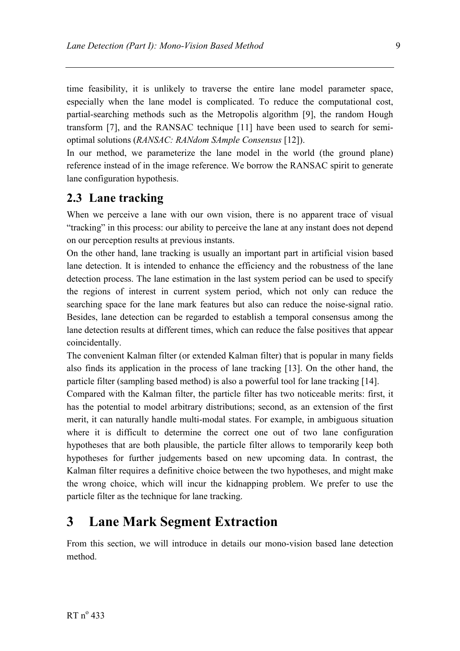time feasibility, it is unlikely to traverse the entire lane model parameter space, especially when the lane model is complicated. To reduce the computational cost, partial-searching methods such as the Metropolis algorithm [9], the random Hough transform [7], and the RANSAC technique [11] have been used to search for semioptimal solutions (*RANSAC: RANdom SAmple Consensus* [12]).

In our method, we parameterize the lane model in the world (the ground plane) reference instead of in the image reference. We borrow the RANSAC spirit to generate lane configuration hypothesis.

#### **2.3 Lane tracking**

When we perceive a lane with our own vision, there is no apparent trace of visual "tracking" in this process: our ability to perceive the lane at any instant does not depend on our perception results at previous instants.

On the other hand, lane tracking is usually an important part in artificial vision based lane detection. It is intended to enhance the efficiency and the robustness of the lane detection process. The lane estimation in the last system period can be used to specify the regions of interest in current system period, which not only can reduce the searching space for the lane mark features but also can reduce the noise-signal ratio. Besides, lane detection can be regarded to establish a temporal consensus among the lane detection results at different times, which can reduce the false positives that appear coincidentally.

The convenient Kalman filter (or extended Kalman filter) that is popular in many fields also finds its application in the process of lane tracking [13]. On the other hand, the particle filter (sampling based method) is also a powerful tool for lane tracking [14].

Compared with the Kalman filter, the particle filter has two noticeable merits: first, it has the potential to model arbitrary distributions; second, as an extension of the first merit, it can naturally handle multi-modal states. For example, in ambiguous situation where it is difficult to determine the correct one out of two lane configuration hypotheses that are both plausible, the particle filter allows to temporarily keep both hypotheses for further judgements based on new upcoming data. In contrast, the Kalman filter requires a definitive choice between the two hypotheses, and might make the wrong choice, which will incur the kidnapping problem. We prefer to use the particle filter as the technique for lane tracking.

#### **3 Lane Mark Segment Extraction**

From this section, we will introduce in details our mono-vision based lane detection method.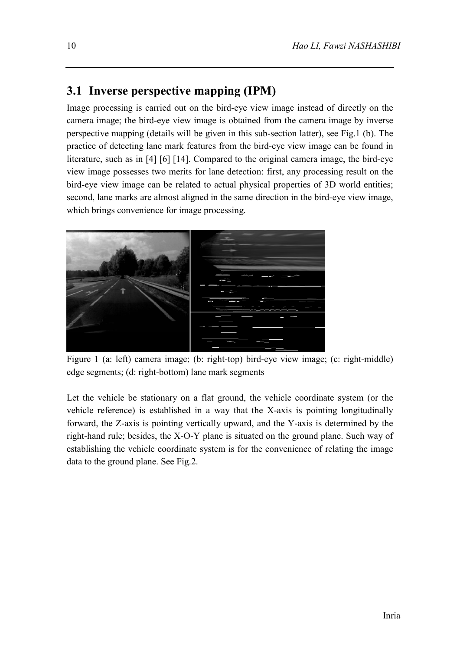#### **3.1 Inverse perspective mapping (IPM)**

Image processing is carried out on the bird-eye view image instead of directly on the camera image; the bird-eye view image is obtained from the camera image by inverse perspective mapping (details will be given in this sub-section latter), see Fig.1 (b). The practice of detecting lane mark features from the bird-eye view image can be found in literature, such as in [4] [6] [14]. Compared to the original camera image, the bird-eye view image possesses two merits for lane detection: first, any processing result on the bird-eye view image can be related to actual physical properties of 3D world entities; second, lane marks are almost aligned in the same direction in the bird-eye view image, which brings convenience for image processing.



Figure 1 (a: left) camera image; (b: right-top) bird-eye view image; (c: right-middle) edge segments; (d: right-bottom) lane mark segments

Let the vehicle be stationary on a flat ground, the vehicle coordinate system (or the vehicle reference) is established in a way that the X-axis is pointing longitudinally forward, the Z-axis is pointing vertically upward, and the Y-axis is determined by the right-hand rule; besides, the X-O-Y plane is situated on the ground plane. Such way of establishing the vehicle coordinate system is for the convenience of relating the image data to the ground plane. See Fig.2.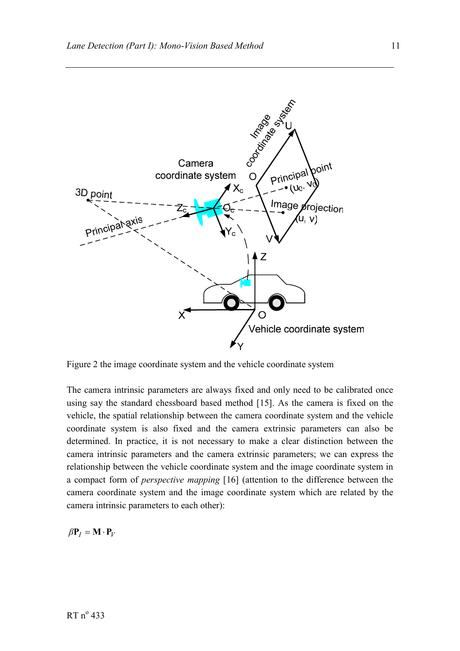

Figure 2 the image coordinate system and the vehicle coordinate system

The camera intrinsic parameters are always fixed and only need to be calibrated once using say the standard chessboard based method [15]. As the camera is fixed on the vehicle, the spatial relationship between the camera coordinate system and the vehicle coordinate system is also fixed and the camera extrinsic parameters can also be determined. In practice, it is not necessary to make a clear distinction between the camera intrinsic parameters and the camera extrinsic parameters; we can express the relationship between the vehicle coordinate system and the image coordinate system in a compact form of *perspective mapping* [16] (attention to the difference between the camera coordinate system and the image coordinate system which are related by the camera intrinsic parameters to each other):

$$
\beta \mathbf{P}_I = \mathbf{M} \cdot \mathbf{P}_V
$$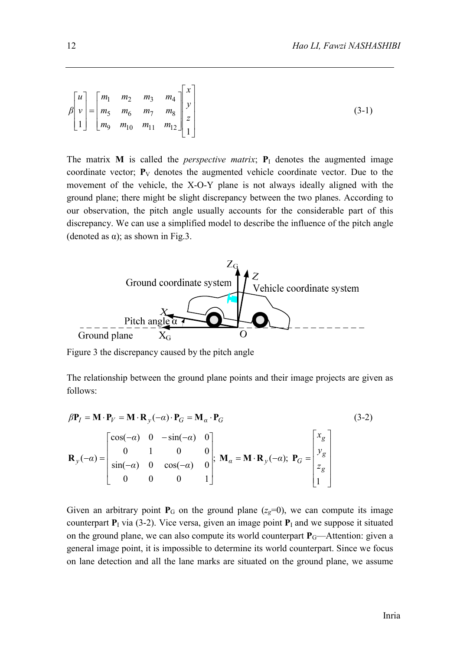$$
\beta\begin{bmatrix}u\\v\\1\end{bmatrix} = \begin{bmatrix}m_1 & m_2 & m_3 & m_4\\m_5 & m_6 & m_7 & m_8\\m_9 & m_{10} & m_{11} & m_{12}\end{bmatrix} \begin{bmatrix}x\\y\\z\\1\end{bmatrix}
$$
 (3-1)

The matrix **M** is called the *perspective matrix*;  $P<sub>I</sub>$  denotes the augmented image coordinate vector;  $P_V$  denotes the augmented vehicle coordinate vector. Due to the movement of the vehicle, the X-O-Y plane is not always ideally aligned with the ground plane; there might be slight discrepancy between the two planes. According to our observation, the pitch angle usually accounts for the considerable part of this discrepancy. We can use a simplified model to describe the influence of the pitch angle (denoted as  $\alpha$ ); as shown in Fig.3.



Figure 3 the discrepancy caused by the pitch angle

The relationship between the ground plane points and their image projects are given as follows:

$$
\beta \mathbf{P}_I = \mathbf{M} \cdot \mathbf{P}_V = \mathbf{M} \cdot \mathbf{R}_y(-\alpha) \cdot \mathbf{P}_G = \mathbf{M}_\alpha \cdot \mathbf{P}_G
$$
(3-2)  

$$
\mathbf{R}_y(-\alpha) = \begin{bmatrix} \cos(-\alpha) & 0 & -\sin(-\alpha) & 0 \\ 0 & 1 & 0 & 0 \\ \sin(-\alpha) & 0 & \cos(-\alpha) & 0 \\ 0 & 0 & 0 & 1 \end{bmatrix}; \ \mathbf{M}_\alpha = \mathbf{M} \cdot \mathbf{R}_y(-\alpha); \ \mathbf{P}_G = \begin{bmatrix} x_g \\ y_g \\ z_g \\ 1 \end{bmatrix}
$$

Given an arbitrary point  $P_G$  on the ground plane ( $z_g=0$ ), we can compute its image counterpart  $P_1$  via (3-2). Vice versa, given an image point  $P_1$  and we suppose it situated on the ground plane, we can also compute its world counterpart  $P_G$ —Attention: given a general image point, it is impossible to determine its world counterpart. Since we focus on lane detection and all the lane marks are situated on the ground plane, we assume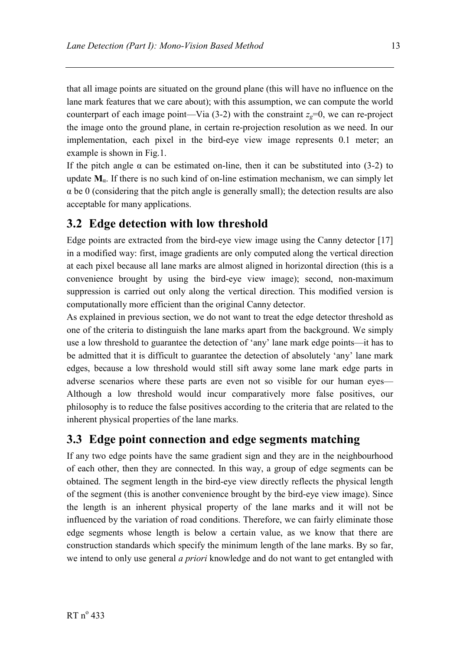that all image points are situated on the ground plane (this will have no influence on the lane mark features that we care about); with this assumption, we can compute the world counterpart of each image point—Via  $(3-2)$  with the constraint  $z<sub>g</sub>=0$ , we can re-project the image onto the ground plane, in certain re-projection resolution as we need. In our implementation, each pixel in the bird-eye view image represents 0.1 meter; an example is shown in Fig.1.

If the pitch angle  $\alpha$  can be estimated on-line, then it can be substituted into (3-2) to update  $M_{\alpha}$ . If there is no such kind of on-line estimation mechanism, we can simply let  $\alpha$  be 0 (considering that the pitch angle is generally small); the detection results are also acceptable for many applications.

#### **3.2 Edge detection with low threshold**

Edge points are extracted from the bird-eye view image using the Canny detector [17] in a modified way: first, image gradients are only computed along the vertical direction at each pixel because all lane marks are almost aligned in horizontal direction (this is a convenience brought by using the bird-eye view image); second, non-maximum suppression is carried out only along the vertical direction. This modified version is computationally more efficient than the original Canny detector.

As explained in previous section, we do not want to treat the edge detector threshold as one of the criteria to distinguish the lane marks apart from the background. We simply use a low threshold to guarantee the detection of 'any' lane mark edge points—it has to be admitted that it is difficult to guarantee the detection of absolutely 'any' lane mark edges, because a low threshold would still sift away some lane mark edge parts in adverse scenarios where these parts are even not so visible for our human eyes— Although a low threshold would incur comparatively more false positives, our philosophy is to reduce the false positives according to the criteria that are related to the inherent physical properties of the lane marks.

#### **3.3 Edge point connection and edge segments matching**

If any two edge points have the same gradient sign and they are in the neighbourhood of each other, then they are connected. In this way, a group of edge segments can be obtained. The segment length in the bird-eye view directly reflects the physical length of the segment (this is another convenience brought by the bird-eye view image). Since the length is an inherent physical property of the lane marks and it will not be influenced by the variation of road conditions. Therefore, we can fairly eliminate those edge segments whose length is below a certain value, as we know that there are construction standards which specify the minimum length of the lane marks. By so far, we intend to only use general *a priori* knowledge and do not want to get entangled with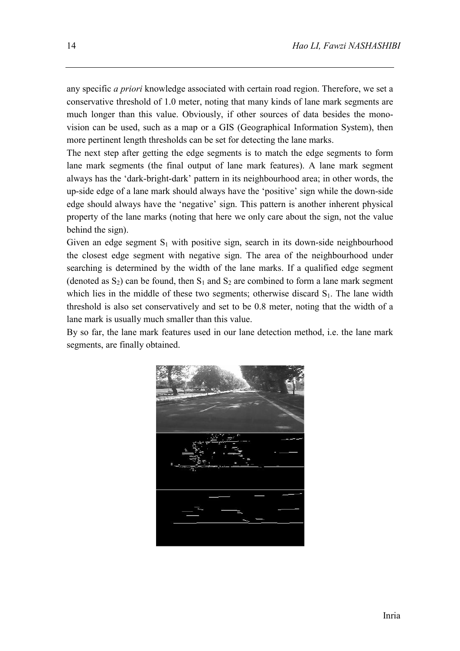any specific *a priori* knowledge associated with certain road region. Therefore, we set a conservative threshold of 1.0 meter, noting that many kinds of lane mark segments are much longer than this value. Obviously, if other sources of data besides the monovision can be used, such as a map or a GIS (Geographical Information System), then more pertinent length thresholds can be set for detecting the lane marks.

The next step after getting the edge segments is to match the edge segments to form lane mark segments (the final output of lane mark features). A lane mark segment always has the 'dark-bright-dark' pattern in its neighbourhood area; in other words, the up-side edge of a lane mark should always have the 'positive' sign while the down-side edge should always have the 'negative' sign. This pattern is another inherent physical property of the lane marks (noting that here we only care about the sign, not the value behind the sign).

Given an edge segment  $S_1$  with positive sign, search in its down-side neighbourhood the closest edge segment with negative sign. The area of the neighbourhood under searching is determined by the width of the lane marks. If a qualified edge segment (denoted as  $S_2$ ) can be found, then  $S_1$  and  $S_2$  are combined to form a lane mark segment which lies in the middle of these two segments; otherwise discard  $S<sub>1</sub>$ . The lane width threshold is also set conservatively and set to be 0.8 meter, noting that the width of a lane mark is usually much smaller than this value.

By so far, the lane mark features used in our lane detection method, i.e. the lane mark segments, are finally obtained.

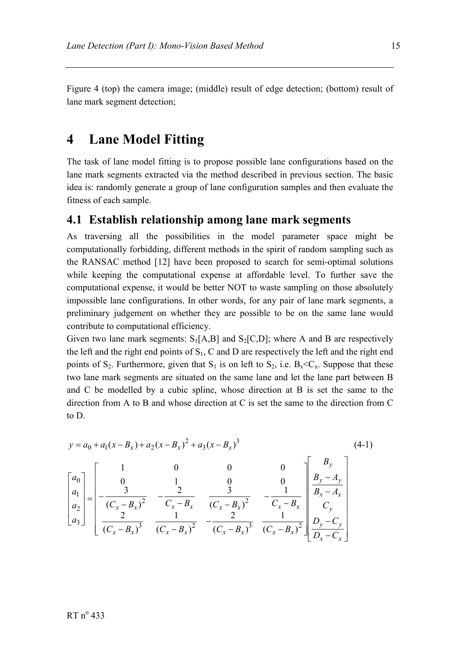Figure 4 (top) the camera image; (middle) result of edge detection; (bottom) result of lane mark segment detection;

#### **4 Lane Model Fitting**

The task of lane model fitting is to propose possible lane configurations based on the lane mark segments extracted via the method described in previous section. The basic idea is: randomly generate a group of lane configuration samples and then evaluate the fitness of each sample.

#### **4.1 Establish relationship among lane mark segments**

As traversing all the possibilities in the model parameter space might be computationally forbidding, different methods in the spirit of random sampling such as the RANSAC method [12] have been proposed to search for semi-optimal solutions while keeping the computational expense at affordable level. To further save the computational expense, it would be better NOT to waste sampling on those absolutely impossible lane configurations. In other words, for any pair of lane mark segments, a preliminary judgement on whether they are possible to be on the same lane would contribute to computational efficiency.

Given two lane mark segments:  $S_1[A,B]$  and  $S_2[C,D]$ ; where A and B are respectively the left and the right end points of  $S_1$ , C and D are respectively the left and the right end points of  $S_2$ . Furthermore, given that  $S_1$  is on left to  $S_2$ , i.e.  $B_x \ll C_x$ . Suppose that these two lane mark segments are situated on the same lane and let the lane part between B and C be modelled by a cubic spline, whose direction at B is set the same to the direction from A to B and whose direction at C is set the same to the direction from C to D.

$$
y = a_0 + a_1(x - B_x) + a_2(x - B_x)^2 + a_3(x - B_x)^3
$$
\n
$$
\begin{bmatrix} a_0 \\ a_1 \\ a_2 \\ a_3 \end{bmatrix} = \begin{bmatrix} 1 & 0 & 0 & 0 \\ 0 & 1 & 0 & 0 \\ \frac{3}{(C_x - B_x)^2} & -\frac{2}{C_x - B_x} & \frac{3}{(C_x - B_x)^2} & -\frac{1}{C_x - B_x} \\ \frac{2}{(C_x - B_x)^3} & \frac{1}{(C_x - B_x)^2} & -\frac{2}{(C_x - B_x)^3} & \frac{1}{(C_x - B_x)^2} \end{bmatrix} \begin{bmatrix} B_y \\ B_y - A_y \\ B_x - A_x \\ C_y \\ D_y - C_y \\ D_x - C_x \end{bmatrix}
$$
\n(4-1)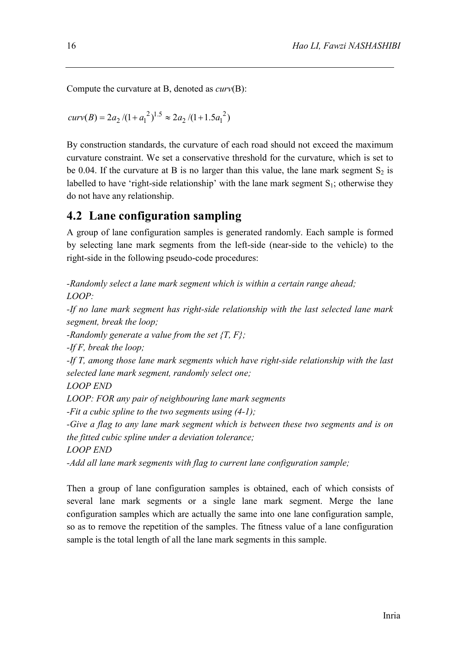Compute the curvature at B, denoted as *curv*(B):

$$
curv(B) = 2a_2 / (1 + {a_1}^2)^{1.5} \approx 2a_2 / (1 + 1.5{a_1}^2)
$$

By construction standards, the curvature of each road should not exceed the maximum curvature constraint. We set a conservative threshold for the curvature, which is set to be 0.04. If the curvature at B is no larger than this value, the lane mark segment  $S_2$  is labelled to have 'right-side relationship' with the lane mark segment  $S_1$ ; otherwise they do not have any relationship.

#### **4.2 Lane configuration sampling**

A group of lane configuration samples is generated randomly. Each sample is formed by selecting lane mark segments from the left-side (near-side to the vehicle) to the right-side in the following pseudo-code procedures:

*-Randomly select a lane mark segment which is within a certain range ahead; LOOP:* 

*-If no lane mark segment has right-side relationship with the last selected lane mark segment, break the loop;* 

*-Randomly generate a value from the set {T, F};* 

*-If F, break the loop;* 

*-If T, among those lane mark segments which have right-side relationship with the last selected lane mark segment, randomly select one;* 

*LOOP END* 

*LOOP: FOR any pair of neighbouring lane mark segments* 

*-Fit a cubic spline to the two segments using (4-1);* 

*-Give a flag to any lane mark segment which is between these two segments and is on the fitted cubic spline under a deviation tolerance;* 

*LOOP END* 

*-Add all lane mark segments with flag to current lane configuration sample;* 

Then a group of lane configuration samples is obtained, each of which consists of several lane mark segments or a single lane mark segment. Merge the lane configuration samples which are actually the same into one lane configuration sample, so as to remove the repetition of the samples. The fitness value of a lane configuration sample is the total length of all the lane mark segments in this sample.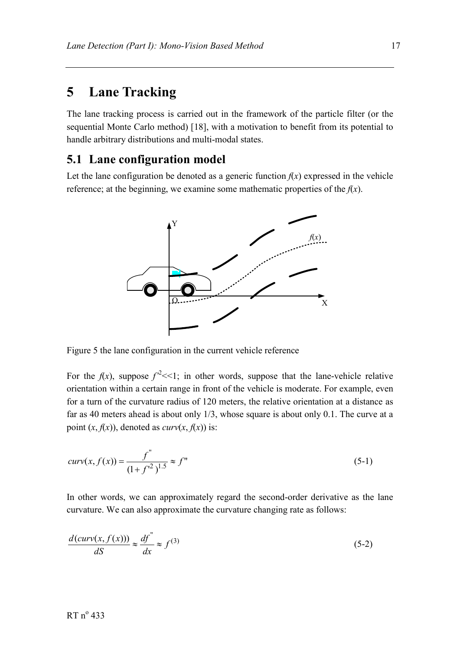#### **5 Lane Tracking**

The lane tracking process is carried out in the framework of the particle filter (or the sequential Monte Carlo method) [18], with a motivation to benefit from its potential to handle arbitrary distributions and multi-modal states.

#### **5.1 Lane configuration model**

Let the lane configuration be denoted as a generic function  $f(x)$  expressed in the vehicle reference; at the beginning, we examine some mathematic properties of the  $f(x)$ .



Figure 5 the lane configuration in the current vehicle reference

For the  $f(x)$ , suppose  $f^{2}<<1$ ; in other words, suppose that the lane-vehicle relative orientation within a certain range in front of the vehicle is moderate. For example, even for a turn of the curvature radius of 120 meters, the relative orientation at a distance as far as 40 meters ahead is about only 1/3, whose square is about only 0.1. The curve at a point  $(x, f(x))$ , denoted as *curv* $(x, f(x))$  is:

$$
curv(x, f(x)) = \frac{f^{''}}{(1 + f^{2})^{1.5}} \approx f^{''}
$$
\n(5-1)

In other words, we can approximately regard the second-order derivative as the lane curvature. We can also approximate the curvature changing rate as follows:

$$
\frac{d(curv(x, f(x)))}{dS} \approx \frac{df'}{dx} \approx f^{(3)}
$$
\n(5-2)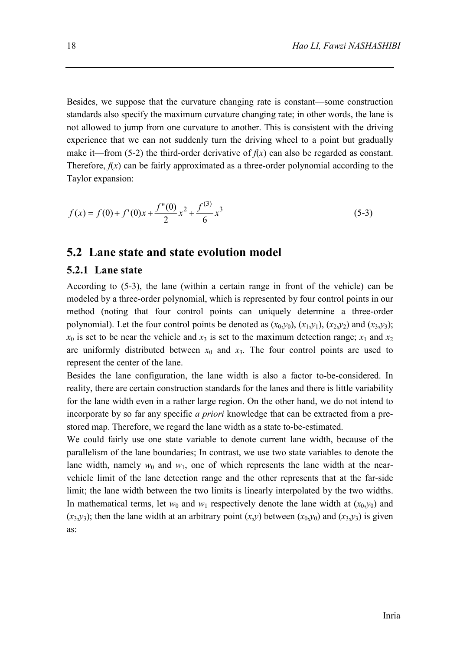Besides, we suppose that the curvature changing rate is constant—some construction standards also specify the maximum curvature changing rate; in other words, the lane is not allowed to jump from one curvature to another. This is consistent with the driving experience that we can not suddenly turn the driving wheel to a point but gradually make it—from (5-2) the third-order derivative of  $f(x)$  can also be regarded as constant. Therefore,  $f(x)$  can be fairly approximated as a three-order polynomial according to the Taylor expansion:

$$
f(x) = f(0) + f'(0)x + \frac{f''(0)}{2}x^2 + \frac{f^{(3)}}{6}x^3
$$
\n(5-3)

#### **5.2 Lane state and state evolution model**

#### **5.2.1 Lane state**

According to (5-3), the lane (within a certain range in front of the vehicle) can be modeled by a three-order polynomial, which is represented by four control points in our method (noting that four control points can uniquely determine a three-order polynomial). Let the four control points be denoted as  $(x_0, y_0)$ ,  $(x_1, y_1)$ ,  $(x_2, y_2)$  and  $(x_3, y_3)$ ;  $x_0$  is set to be near the vehicle and  $x_3$  is set to the maximum detection range;  $x_1$  and  $x_2$ are uniformly distributed between  $x_0$  and  $x_3$ . The four control points are used to represent the center of the lane.

Besides the lane configuration, the lane width is also a factor to-be-considered. In reality, there are certain construction standards for the lanes and there is little variability for the lane width even in a rather large region. On the other hand, we do not intend to incorporate by so far any specific *a priori* knowledge that can be extracted from a prestored map. Therefore, we regard the lane width as a state to-be-estimated.

We could fairly use one state variable to denote current lane width, because of the parallelism of the lane boundaries; In contrast, we use two state variables to denote the lane width, namely  $w_0$  and  $w_1$ , one of which represents the lane width at the nearvehicle limit of the lane detection range and the other represents that at the far-side limit; the lane width between the two limits is linearly interpolated by the two widths. In mathematical terms, let  $w_0$  and  $w_1$  respectively denote the lane width at  $(x_0, y_0)$  and  $(x_3, y_3)$ ; then the lane width at an arbitrary point  $(x,y)$  between  $(x_0, y_0)$  and  $(x_3, y_3)$  is given as: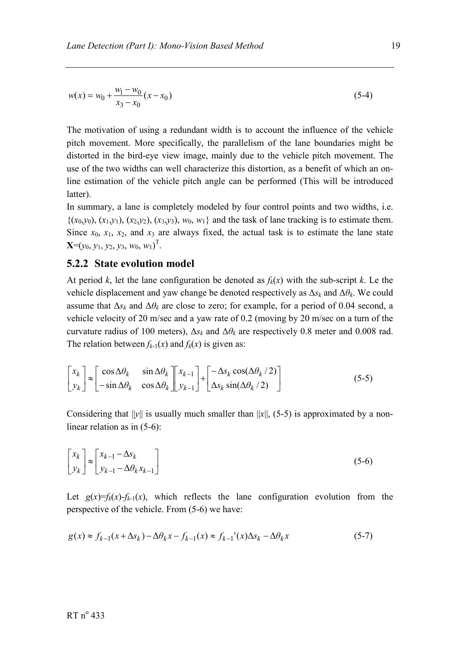$$
w(x) = w_0 + \frac{w_1 - w_0}{x_3 - x_0}(x - x_0)
$$
\n(5-4)

The motivation of using a redundant width is to account the influence of the vehicle pitch movement. More specifically, the parallelism of the lane boundaries might be distorted in the bird-eye view image, mainly due to the vehicle pitch movement. The use of the two widths can well characterize this distortion, as a benefit of which an online estimation of the vehicle pitch angle can be performed (This will be introduced latter).

In summary, a lane is completely modeled by four control points and two widths, i.e.  $\{(x_0,y_0), (x_1,y_1), (x_2,y_2), (x_3,y_3), w_0, w_1\}$  and the task of lane tracking is to estimate them. Since  $x_0$ ,  $x_1$ ,  $x_2$ , and  $x_3$  are always fixed, the actual task is to estimate the lane state  $\mathbf{X} = (y_0, y_1, y_2, y_3, w_0, w_1)^\mathrm{T}$ .

#### **5.2.2 State evolution model**

At period *k*, let the lane configuration be denoted as  $f_k(x)$  with the sub-script *k*. Le the vehicle displacement and yaw change be denoted respectively as  $\Delta s_k$  and  $\Delta \theta_k$ . We could assume that  $\Delta s_k$  and  $\Delta \theta_k$  are close to zero; for example, for a period of 0.04 second, a vehicle velocity of 20 m/sec and a yaw rate of 0.2 (moving by 20 m/sec on a turn of the curvature radius of 100 meters),  $\Delta s_k$  and  $\Delta \theta_k$  are respectively 0.8 meter and 0.008 rad. The relation between  $f_{k-1}(x)$  and  $f_k(x)$  is given as:

$$
\begin{bmatrix} x_k \\ y_k \end{bmatrix} \approx \begin{bmatrix} \cos \Delta \theta_k & \sin \Delta \theta_k \\ -\sin \Delta \theta_k & \cos \Delta \theta_k \end{bmatrix} \begin{bmatrix} x_{k-1} \\ y_{k-1} \end{bmatrix} + \begin{bmatrix} -\Delta s_k \cos(\Delta \theta_k / 2) \\ \Delta s_k \sin(\Delta \theta_k / 2) \end{bmatrix} \tag{5-5}
$$

Considering that  $||y||$  is usually much smaller than  $||x||$ , (5-5) is approximated by a nonlinear relation as in (5-6):

$$
\begin{bmatrix} x_k \\ y_k \end{bmatrix} \approx \begin{bmatrix} x_{k-1} - \Delta s_k \\ y_{k-1} - \Delta \theta_k x_{k-1} \end{bmatrix}
$$
 (5-6)

Let  $g(x)=f_k(x)-f_{k-1}(x)$ , which reflects the lane configuration evolution from the perspective of the vehicle. From (5-6) we have:

$$
g(x) \approx f_{k-1}(x + \Delta s_k) - \Delta \theta_k x - f_{k-1}(x) \approx f_{k-1}(x) \Delta s_k - \Delta \theta_k x \tag{5-7}
$$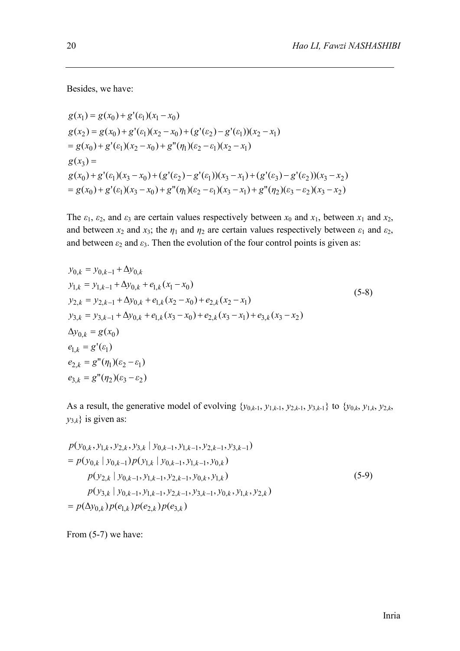Besides, we have:

$$
g(x_1) = g(x_0) + g'(ε_1)(x_1 - x_0)
$$
  
\n
$$
g(x_2) = g(x_0) + g'(ε_1)(x_2 - x_0) + (g'(ε_2) - g'(ε_1))(x_2 - x_1)
$$
  
\n
$$
= g(x_0) + g'(ε_1)(x_2 - x_0) + g''(\eta_1)(ε_2 - ε_1)(x_2 - x_1)
$$
  
\n
$$
g(x_3) =
$$
  
\n
$$
g(x_0) + g'(ε_1)(x_3 - x_0) + (g'(ε_2) - g'(ε_1))(x_3 - x_1) + (g'(ε_3) - g'(ε_2))(x_3 - x_2)
$$
  
\n
$$
= g(x_0) + g'(ε_1)(x_3 - x_0) + g''(\eta_1)(ε_2 - ε_1)(x_3 - x_1) + g''(\eta_2)(ε_3 - ε_2)(x_3 - x_2)
$$

The  $\varepsilon_1$ ,  $\varepsilon_2$ , and  $\varepsilon_3$  are certain values respectively between  $x_0$  and  $x_1$ , between  $x_1$  and  $x_2$ , and between  $x_2$  and  $x_3$ ; the  $\eta_1$  and  $\eta_2$  are certain values respectively between  $\varepsilon_1$  and  $\varepsilon_2$ , and between  $\varepsilon_2$  and  $\varepsilon_3$ . Then the evolution of the four control points is given as:

$$
y_{0,k} = y_{0,k-1} + \Delta y_{0,k}
$$
  
\n
$$
y_{1,k} = y_{1,k-1} + \Delta y_{0,k} + e_{1,k}(x_1 - x_0)
$$
  
\n
$$
y_{2,k} = y_{2,k-1} + \Delta y_{0,k} + e_{1,k}(x_2 - x_0) + e_{2,k}(x_2 - x_1)
$$
  
\n
$$
y_{3,k} = y_{3,k-1} + \Delta y_{0,k} + e_{1,k}(x_3 - x_0) + e_{2,k}(x_3 - x_1) + e_{3,k}(x_3 - x_2)
$$
  
\n
$$
\Delta y_{0,k} = g(x_0)
$$
  
\n
$$
e_{1,k} = g'(e_1)
$$
  
\n
$$
e_{2,k} = g''(\eta_1)(\varepsilon_2 - \varepsilon_1)
$$
  
\n
$$
e_{3,k} = g''(\eta_2)(\varepsilon_3 - \varepsilon_2)
$$
 (6.1)

As a result, the generative model of evolving  $\{y_{0,k-1}, y_{1,k-1}, y_{2,k-1}, y_{3,k-1}\}$  to  $\{y_{0,k}, y_{1,k}, y_{2,k},$  $y_{3,k}$ } is given as:

$$
p(y_{0,k}, y_{1,k}, y_{2,k}, y_{3,k} | y_{0,k-1}, y_{1,k-1}, y_{2,k-1}, y_{3,k-1})
$$
  
=  $p(y_{0,k} | y_{0,k-1}) p(y_{1,k} | y_{0,k-1}, y_{1,k-1}, y_{0,k})$   
 $p(y_{2,k} | y_{0,k-1}, y_{1,k-1}, y_{2,k-1}, y_{0,k}, y_{1,k})$   
 $p(y_{3,k} | y_{0,k-1}, y_{1,k-1}, y_{2,k-1}, y_{3,k-1}, y_{0,k}, y_{1,k}, y_{2,k})$   
=  $p(\Delta y_{0,k}) p(e_{1,k}) p(e_{2,k}) p(e_{3,k})$  (5-9)

From  $(5-7)$  we have: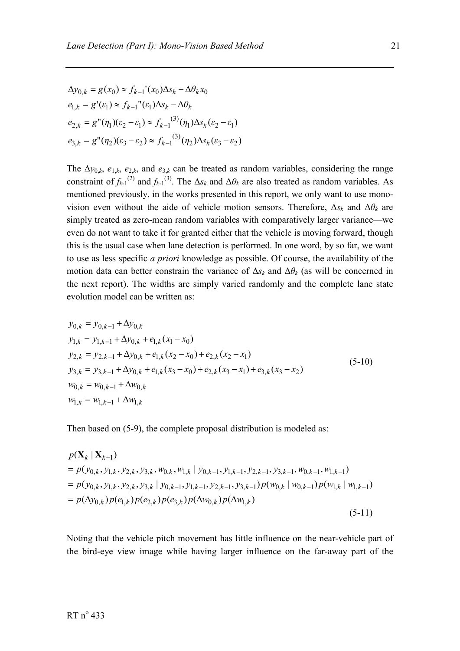$$
\Delta y_{0,k} = g(x_0) \approx f_{k-1}'(x_0) \Delta s_k - \Delta \theta_k x_0
$$
  
\n
$$
e_{1,k} = g'( \varepsilon_1) \approx f_{k-1}''( \varepsilon_1) \Delta s_k - \Delta \theta_k
$$
  
\n
$$
e_{2,k} = g''(\eta_1) (\varepsilon_2 - \varepsilon_1) \approx f_{k-1}^{(3)}(\eta_1) \Delta s_k (\varepsilon_2 - \varepsilon_1)
$$
  
\n
$$
e_{3,k} = g''(\eta_2) (\varepsilon_3 - \varepsilon_2) \approx f_{k-1}^{(3)}(\eta_2) \Delta s_k (\varepsilon_3 - \varepsilon_2)
$$

The  $\Delta y_{0,k}$ ,  $e_{1,k}$ ,  $e_{2,k}$ , and  $e_{3,k}$  can be treated as random variables, considering the range constraint of  $f_{k-1}^{(2)}$  and  $f_{k-1}^{(3)}$ . The  $\Delta s_k$  and  $\Delta \theta_k$  are also treated as random variables. As mentioned previously, in the works presented in this report, we only want to use monovision even without the aide of vehicle motion sensors. Therefore,  $\Delta s_k$  and  $\Delta \theta_k$  are simply treated as zero-mean random variables with comparatively larger variance—we even do not want to take it for granted either that the vehicle is moving forward, though this is the usual case when lane detection is performed. In one word, by so far, we want to use as less specific *a priori* knowledge as possible. Of course, the availability of the motion data can better constrain the variance of  $\Delta s_k$  and  $\Delta \theta_k$  (as will be concerned in the next report). The widths are simply varied randomly and the complete lane state evolution model can be written as:

$$
y_{0,k} = y_{0,k-1} + \Delta y_{0,k}
$$
  
\n
$$
y_{1,k} = y_{1,k-1} + \Delta y_{0,k} + e_{1,k}(x_1 - x_0)
$$
  
\n
$$
y_{2,k} = y_{2,k-1} + \Delta y_{0,k} + e_{1,k}(x_2 - x_0) + e_{2,k}(x_2 - x_1)
$$
  
\n
$$
y_{3,k} = y_{3,k-1} + \Delta y_{0,k} + e_{1,k}(x_3 - x_0) + e_{2,k}(x_3 - x_1) + e_{3,k}(x_3 - x_2)
$$
  
\n
$$
w_{0,k} = w_{0,k-1} + \Delta w_{0,k}
$$
  
\n
$$
w_{1,k} = w_{1,k-1} + \Delta w_{1,k}
$$
  
\n(5-10)

Then based on (5-9), the complete proposal distribution is modeled as:

$$
p(\mathbf{X}_{k} | \mathbf{X}_{k-1})
$$
  
=  $p(y_{0,k}, y_{1,k}, y_{2,k}, y_{3,k}, w_{0,k}, w_{1,k} | y_{0,k-1}, y_{1,k-1}, y_{2,k-1}, y_{3,k-1}, w_{0,k-1}, w_{1,k-1})$   
=  $p(y_{0,k}, y_{1,k}, y_{2,k}, y_{3,k} | y_{0,k-1}, y_{1,k-1}, y_{2,k-1}, y_{3,k-1}) p(w_{0,k} | w_{0,k-1}) p(w_{1,k} | w_{1,k-1})$   
=  $p(\Delta y_{0,k}) p(e_{1,k}) p(e_{2,k}) p(e_{3,k}) p(\Delta w_{0,k}) p(\Delta w_{1,k})$  (5-11)

Noting that the vehicle pitch movement has little influence on the near-vehicle part of the bird-eye view image while having larger influence on the far-away part of the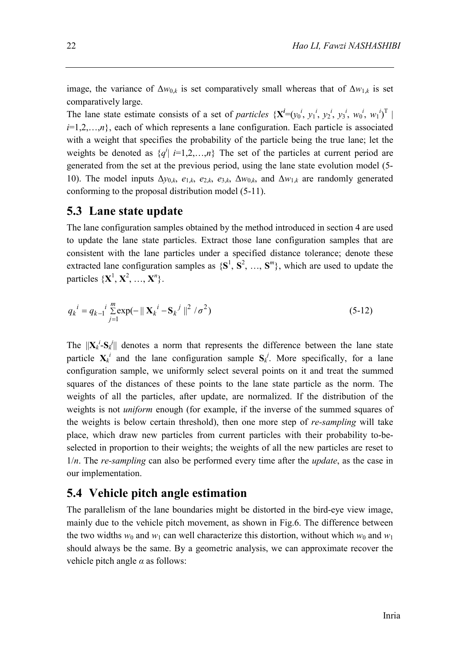image, the variance of  $\Delta w_{0,k}$  is set comparatively small whereas that of  $\Delta w_{1,k}$  is set comparatively large.

The lane state estimate consists of a set of *particles*  $\{X^{i}=(y_0^i, y_1^i, y_2^i, y_3^i, w_0^i, w_1^i)^T \}$  $i=1,2,...,n$ , each of which represents a lane configuration. Each particle is associated with a weight that specifies the probability of the particle being the true lane; let the weights be denoted as  $\{q^i | i=1,2,...,n\}$  The set of the particles at current period are generated from the set at the previous period, using the lane state evolution model (5- 10). The model inputs  $\Delta y_{0,k}$ ,  $e_{1,k}$ ,  $e_{2,k}$ ,  $e_{3,k}$ ,  $\Delta w_{0,k}$ , and  $\Delta w_{1,k}$  are randomly generated conforming to the proposal distribution model (5-11).

#### **5.3 Lane state update**

The lane configuration samples obtained by the method introduced in section 4 are used to update the lane state particles. Extract those lane configuration samples that are consistent with the lane particles under a specified distance tolerance; denote these extracted lane configuration samples as  $\{S^1, S^2, ..., S^m\}$ , which are used to update the particles  $\{X^1, X^2, ..., X^n\}$ .

$$
q_k^i = q_{k-1}^i \sum_{j=1}^m \exp(-\|\mathbf{X}_k^i - \mathbf{S}_k^j\|^2 / \sigma^2)
$$
 (5-12)

The  $||\mathbf{X}_k^i - \mathbf{S}_k||$  denotes a norm that represents the difference between the lane state particle  $X_k^i$  and the lane configuration sample  $S_k^j$ . More specifically, for a lane configuration sample, we uniformly select several points on it and treat the summed squares of the distances of these points to the lane state particle as the norm. The weights of all the particles, after update, are normalized. If the distribution of the weights is not *uniform* enough (for example, if the inverse of the summed squares of the weights is below certain threshold), then one more step of *re-sampling* will take place, which draw new particles from current particles with their probability to-beselected in proportion to their weights; the weights of all the new particles are reset to 1/*n*. The *re-sampling* can also be performed every time after the *update*, as the case in our implementation.

#### **5.4 Vehicle pitch angle estimation**

The parallelism of the lane boundaries might be distorted in the bird-eye view image, mainly due to the vehicle pitch movement, as shown in Fig.6. The difference between the two widths  $w_0$  and  $w_1$  can well characterize this distortion, without which  $w_0$  and  $w_1$ should always be the same. By a geometric analysis, we can approximate recover the vehicle pitch angle  $\alpha$  as follows: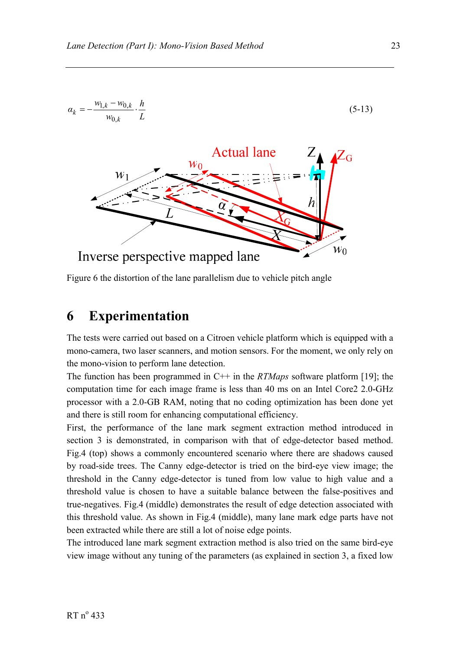

Figure 6 the distortion of the lane parallelism due to vehicle pitch angle

#### **6 Experimentation**

The tests were carried out based on a Citroen vehicle platform which is equipped with a mono-camera, two laser scanners, and motion sensors. For the moment, we only rely on the mono-vision to perform lane detection.

The function has been programmed in C++ in the *RTMaps* software platform [19]; the computation time for each image frame is less than 40 ms on an Intel Core2 2.0-GHz processor with a 2.0-GB RAM, noting that no coding optimization has been done yet and there is still room for enhancing computational efficiency.

First, the performance of the lane mark segment extraction method introduced in section 3 is demonstrated, in comparison with that of edge-detector based method. Fig.4 (top) shows a commonly encountered scenario where there are shadows caused by road-side trees. The Canny edge-detector is tried on the bird-eye view image; the threshold in the Canny edge-detector is tuned from low value to high value and a threshold value is chosen to have a suitable balance between the false-positives and true-negatives. Fig.4 (middle) demonstrates the result of edge detection associated with this threshold value. As shown in Fig.4 (middle), many lane mark edge parts have not been extracted while there are still a lot of noise edge points.

The introduced lane mark segment extraction method is also tried on the same bird-eye view image without any tuning of the parameters (as explained in section 3, a fixed low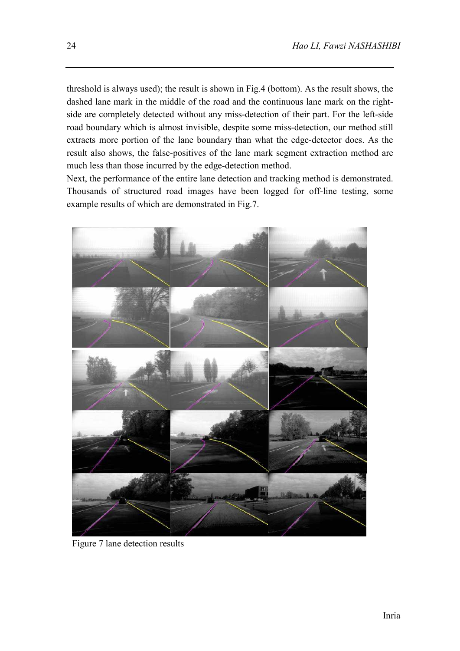threshold is always used); the result is shown in Fig.4 (bottom). As the result shows, the dashed lane mark in the middle of the road and the continuous lane mark on the rightside are completely detected without any miss-detection of their part. For the left-side road boundary which is almost invisible, despite some miss-detection, our method still extracts more portion of the lane boundary than what the edge-detector does. As the result also shows, the false-positives of the lane mark segment extraction method are much less than those incurred by the edge-detection method.

Next, the performance of the entire lane detection and tracking method is demonstrated. Thousands of structured road images have been logged for off-line testing, some example results of which are demonstrated in Fig.7.



Figure 7 lane detection results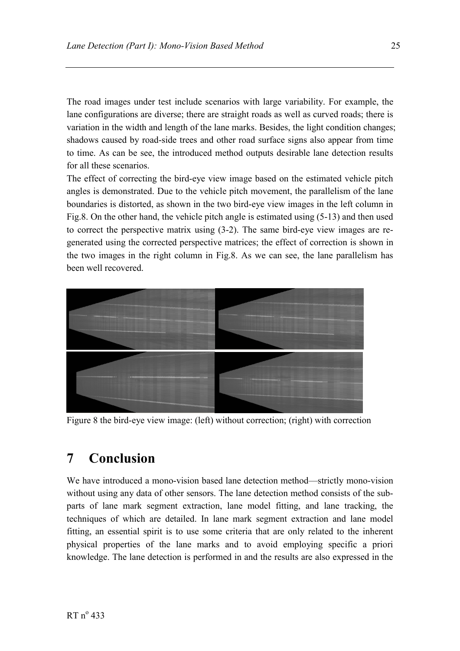The road images under test include scenarios with large variability. For example, the lane configurations are diverse; there are straight roads as well as curved roads; there is variation in the width and length of the lane marks. Besides, the light condition changes; shadows caused by road-side trees and other road surface signs also appear from time to time. As can be see, the introduced method outputs desirable lane detection results for all these scenarios.

The effect of correcting the bird-eye view image based on the estimated vehicle pitch angles is demonstrated. Due to the vehicle pitch movement, the parallelism of the lane boundaries is distorted, as shown in the two bird-eye view images in the left column in Fig.8. On the other hand, the vehicle pitch angle is estimated using (5-13) and then used to correct the perspective matrix using (3-2). The same bird-eye view images are regenerated using the corrected perspective matrices; the effect of correction is shown in the two images in the right column in Fig.8. As we can see, the lane parallelism has been well recovered.



Figure 8 the bird-eye view image: (left) without correction; (right) with correction

#### **7 Conclusion**

We have introduced a mono-vision based lane detection method—strictly mono-vision without using any data of other sensors. The lane detection method consists of the subparts of lane mark segment extraction, lane model fitting, and lane tracking, the techniques of which are detailed. In lane mark segment extraction and lane model fitting, an essential spirit is to use some criteria that are only related to the inherent physical properties of the lane marks and to avoid employing specific a priori knowledge. The lane detection is performed in and the results are also expressed in the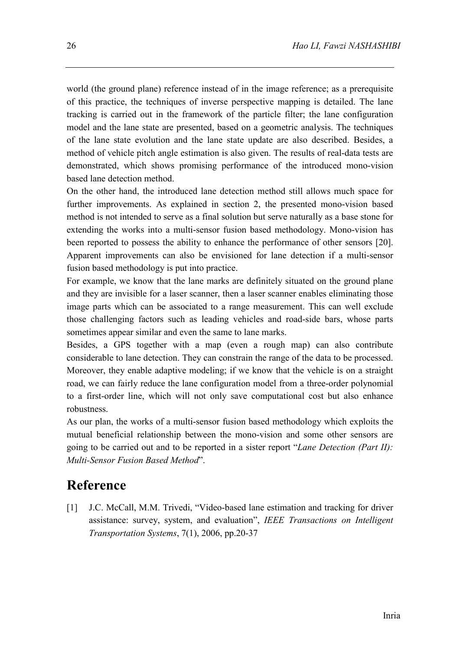world (the ground plane) reference instead of in the image reference; as a prerequisite of this practice, the techniques of inverse perspective mapping is detailed. The lane tracking is carried out in the framework of the particle filter; the lane configuration model and the lane state are presented, based on a geometric analysis. The techniques of the lane state evolution and the lane state update are also described. Besides, a method of vehicle pitch angle estimation is also given. The results of real-data tests are demonstrated, which shows promising performance of the introduced mono-vision based lane detection method.

On the other hand, the introduced lane detection method still allows much space for further improvements. As explained in section 2, the presented mono-vision based method is not intended to serve as a final solution but serve naturally as a base stone for extending the works into a multi-sensor fusion based methodology. Mono-vision has been reported to possess the ability to enhance the performance of other sensors [20]. Apparent improvements can also be envisioned for lane detection if a multi-sensor fusion based methodology is put into practice.

For example, we know that the lane marks are definitely situated on the ground plane and they are invisible for a laser scanner, then a laser scanner enables eliminating those image parts which can be associated to a range measurement. This can well exclude those challenging factors such as leading vehicles and road-side bars, whose parts sometimes appear similar and even the same to lane marks.

Besides, a GPS together with a map (even a rough map) can also contribute considerable to lane detection. They can constrain the range of the data to be processed. Moreover, they enable adaptive modeling; if we know that the vehicle is on a straight road, we can fairly reduce the lane configuration model from a three-order polynomial to a first-order line, which will not only save computational cost but also enhance robustness.

As our plan, the works of a multi-sensor fusion based methodology which exploits the mutual beneficial relationship between the mono-vision and some other sensors are going to be carried out and to be reported in a sister report "*Lane Detection (Part II): Multi-Sensor Fusion Based Method*".

#### **Reference**

[1] J.C. McCall, M.M. Trivedi, "Video-based lane estimation and tracking for driver assistance: survey, system, and evaluation", *IEEE Transactions on Intelligent Transportation Systems*, 7(1), 2006, pp.20-37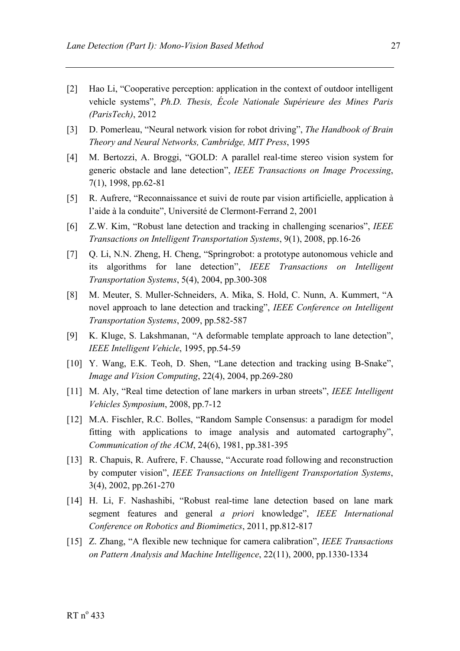- [2] Hao Li, "Cooperative perception: application in the context of outdoor intelligent vehicle systems", *Ph.D. Thesis, École Nationale Supérieure des Mines Paris (ParisTech)*, 2012
- [3] D. Pomerleau, "Neural network vision for robot driving", *The Handbook of Brain Theory and Neural Networks, Cambridge, MIT Press*, 1995
- [4] M. Bertozzi, A. Broggi, "GOLD: A parallel real-time stereo vision system for generic obstacle and lane detection", *IEEE Transactions on Image Processing*, 7(1), 1998, pp.62-81
- [5] R. Aufrere, "Reconnaissance et suivi de route par vision artificielle, application à l'aide à la conduite", Université de Clermont-Ferrand 2, 2001
- [6] Z.W. Kim, "Robust lane detection and tracking in challenging scenarios", *IEEE Transactions on Intelligent Transportation Systems*, 9(1), 2008, pp.16-26
- [7] Q. Li, N.N. Zheng, H. Cheng, "Springrobot: a prototype autonomous vehicle and its algorithms for lane detection", *IEEE Transactions on Intelligent Transportation Systems*, 5(4), 2004, pp.300-308
- [8] M. Meuter, S. Muller-Schneiders, A. Mika, S. Hold, C. Nunn, A. Kummert, "A novel approach to lane detection and tracking", *IEEE Conference on Intelligent Transportation Systems*, 2009, pp.582-587
- [9] K. Kluge, S. Lakshmanan, "A deformable template approach to lane detection", *IEEE Intelligent Vehicle*, 1995, pp.54-59
- [10] Y. Wang, E.K. Teoh, D. Shen, "Lane detection and tracking using B-Snake", *Image and Vision Computing*, 22(4), 2004, pp.269-280
- [11] M. Aly, "Real time detection of lane markers in urban streets", *IEEE Intelligent Vehicles Symposium*, 2008, pp.7-12
- [12] M.A. Fischler, R.C. Bolles, "Random Sample Consensus: a paradigm for model fitting with applications to image analysis and automated cartography", *Communication of the ACM*, 24(6), 1981, pp.381-395
- [13] R. Chapuis, R. Aufrere, F. Chausse, "Accurate road following and reconstruction by computer vision", *IEEE Transactions on Intelligent Transportation Systems*, 3(4), 2002, pp.261-270
- [14] H. Li, F. Nashashibi, "Robust real-time lane detection based on lane mark segment features and general *a priori* knowledge", *IEEE International Conference on Robotics and Biomimetics*, 2011, pp.812-817
- [15] Z. Zhang, "A flexible new technique for camera calibration", *IEEE Transactions on Pattern Analysis and Machine Intelligence*, 22(11), 2000, pp.1330-1334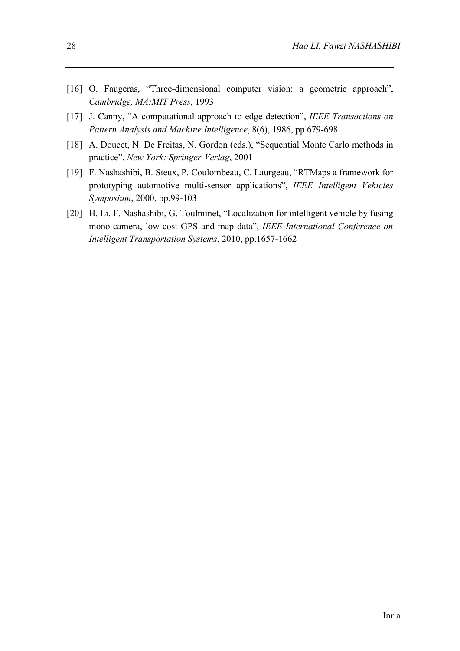- [16] O. Faugeras, "Three-dimensional computer vision: a geometric approach", *Cambridge, MA:MIT Press*, 1993
- [17] J. Canny, "A computational approach to edge detection", *IEEE Transactions on Pattern Analysis and Machine Intelligence*, 8(6), 1986, pp.679-698
- [18] A. Doucet, N. De Freitas, N. Gordon (eds.), "Sequential Monte Carlo methods in practice", *New York: Springer-Verlag*, 2001
- [19] F. Nashashibi, B. Steux, P. Coulombeau, C. Laurgeau, "RTMaps a framework for prototyping automotive multi-sensor applications", *IEEE Intelligent Vehicles Symposium*, 2000, pp.99-103
- [20] H. Li, F. Nashashibi, G. Toulminet, "Localization for intelligent vehicle by fusing mono-camera, low-cost GPS and map data", *IEEE International Conference on Intelligent Transportation Systems*, 2010, pp.1657-1662